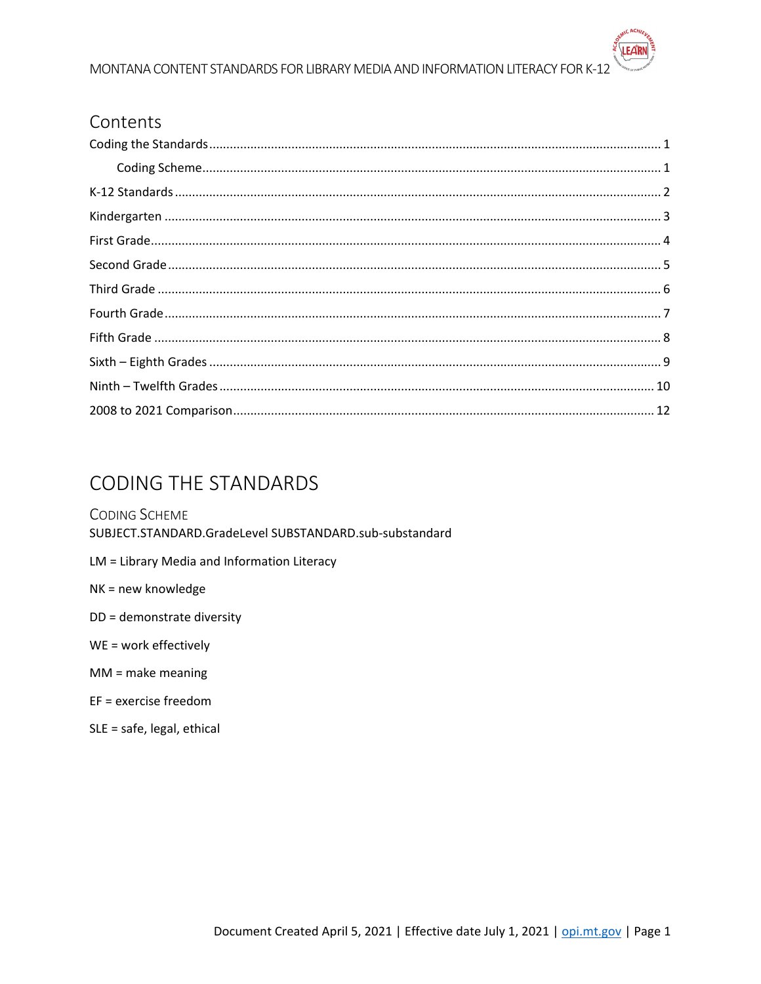#### MONTANA CONTENT STANDARDS FOR LIBRARY MEDIA AND INFORMATION LITERACY FOR K-12

#### Contents

| $\textbf{Coding Scheme}.\textcolor{red}{\textbf{Coding Scheme}}. \textcolor{red}{\textbf{1}}$ |  |
|-----------------------------------------------------------------------------------------------|--|
|                                                                                               |  |
|                                                                                               |  |
|                                                                                               |  |
|                                                                                               |  |
|                                                                                               |  |
|                                                                                               |  |
|                                                                                               |  |
|                                                                                               |  |
|                                                                                               |  |
|                                                                                               |  |

# <span id="page-0-0"></span>**CODING THE STANDARDS**

<span id="page-0-1"></span>**CODING SCHEME** SUBJECT.STANDARD.GradeLevel SUBSTANDARD.sub-substandard LM = Library Media and Information Literacy NK = new knowledge DD = demonstrate diversity WE = work effectively  $MM = make meaning$ EF = exercise freedom SLE = safe, legal, ethical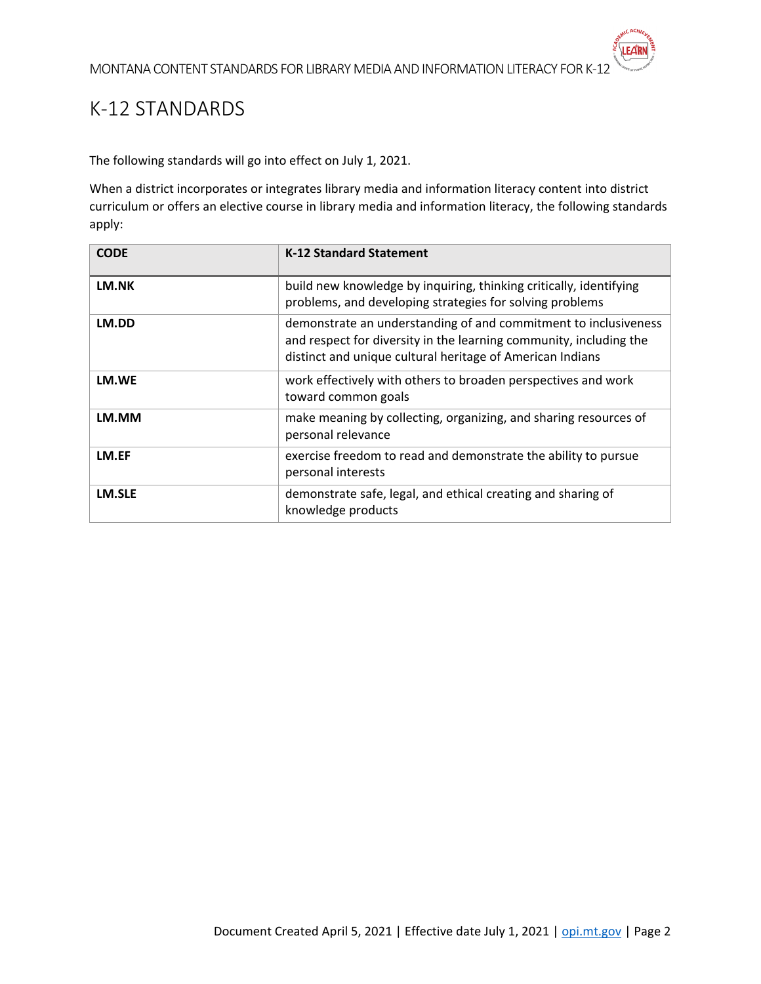### <span id="page-1-0"></span>K-12 STANDARDS

The following standards will go into effect on July 1, 2021.

When a district incorporates or integrates library media and information literacy content into district curriculum or offers an elective course in library media and information literacy, the following standards apply:

| <b>CODE</b> | <b>K-12 Standard Statement</b>                                                                                                                                                                     |
|-------------|----------------------------------------------------------------------------------------------------------------------------------------------------------------------------------------------------|
| LM.NK       | build new knowledge by inquiring, thinking critically, identifying<br>problems, and developing strategies for solving problems                                                                     |
| LM.DD       | demonstrate an understanding of and commitment to inclusiveness<br>and respect for diversity in the learning community, including the<br>distinct and unique cultural heritage of American Indians |
| LM.WE       | work effectively with others to broaden perspectives and work<br>toward common goals                                                                                                               |
| LM.MM       | make meaning by collecting, organizing, and sharing resources of<br>personal relevance                                                                                                             |
| LM.EF       | exercise freedom to read and demonstrate the ability to pursue<br>personal interests                                                                                                               |
| LM.SLE      | demonstrate safe, legal, and ethical creating and sharing of<br>knowledge products                                                                                                                 |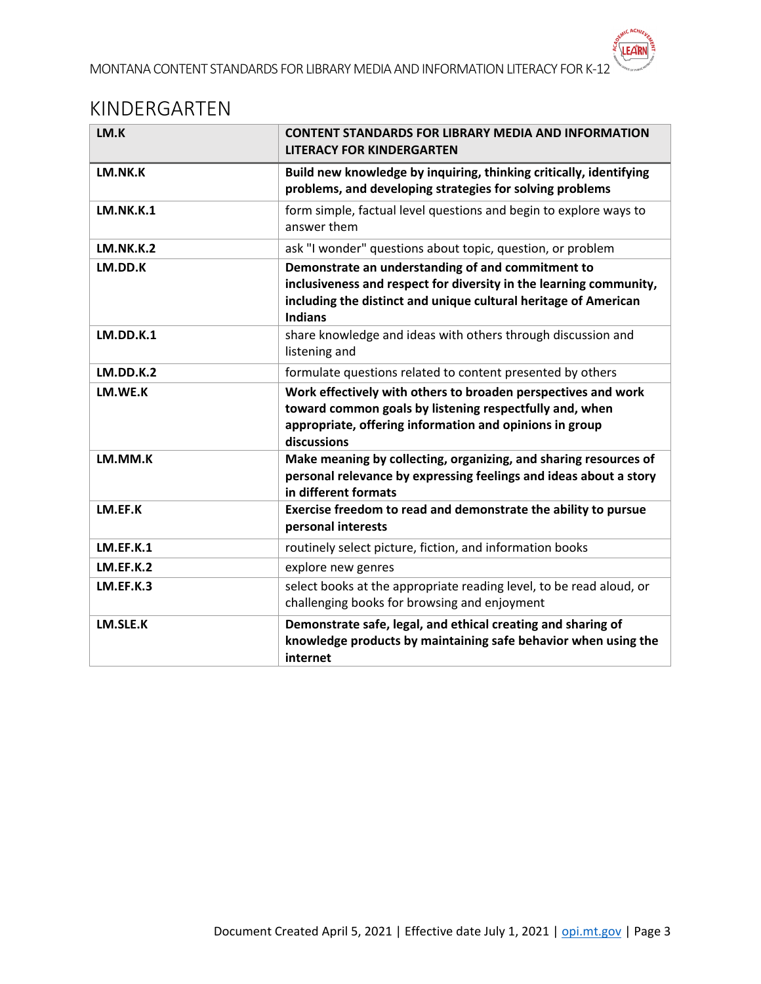#### <span id="page-2-0"></span>KINDERGARTEN

| LM.K             | <b>CONTENT STANDARDS FOR LIBRARY MEDIA AND INFORMATION</b><br><b>LITERACY FOR KINDERGARTEN</b>                                                                                                               |
|------------------|--------------------------------------------------------------------------------------------------------------------------------------------------------------------------------------------------------------|
| LM.NK.K          | Build new knowledge by inquiring, thinking critically, identifying<br>problems, and developing strategies for solving problems                                                                               |
| <b>LM.NK.K.1</b> | form simple, factual level questions and begin to explore ways to<br>answer them                                                                                                                             |
| <b>LM.NK.K.2</b> | ask "I wonder" questions about topic, question, or problem                                                                                                                                                   |
| LM.DD.K          | Demonstrate an understanding of and commitment to<br>inclusiveness and respect for diversity in the learning community,<br>including the distinct and unique cultural heritage of American<br><b>Indians</b> |
| <b>LM.DD.K.1</b> | share knowledge and ideas with others through discussion and<br>listening and                                                                                                                                |
| <b>LM.DD.K.2</b> | formulate questions related to content presented by others                                                                                                                                                   |
| LM.WE.K          | Work effectively with others to broaden perspectives and work<br>toward common goals by listening respectfully and, when<br>appropriate, offering information and opinions in group<br>discussions           |
| LM.MM.K          | Make meaning by collecting, organizing, and sharing resources of<br>personal relevance by expressing feelings and ideas about a story<br>in different formats                                                |
| LM.EF.K          | Exercise freedom to read and demonstrate the ability to pursue<br>personal interests                                                                                                                         |
| LM.EF.K.1        | routinely select picture, fiction, and information books                                                                                                                                                     |
| LM.EF.K.2        | explore new genres                                                                                                                                                                                           |
| LM.EF.K.3        | select books at the appropriate reading level, to be read aloud, or<br>challenging books for browsing and enjoyment                                                                                          |
| LM.SLE.K         | Demonstrate safe, legal, and ethical creating and sharing of<br>knowledge products by maintaining safe behavior when using the<br>internet                                                                   |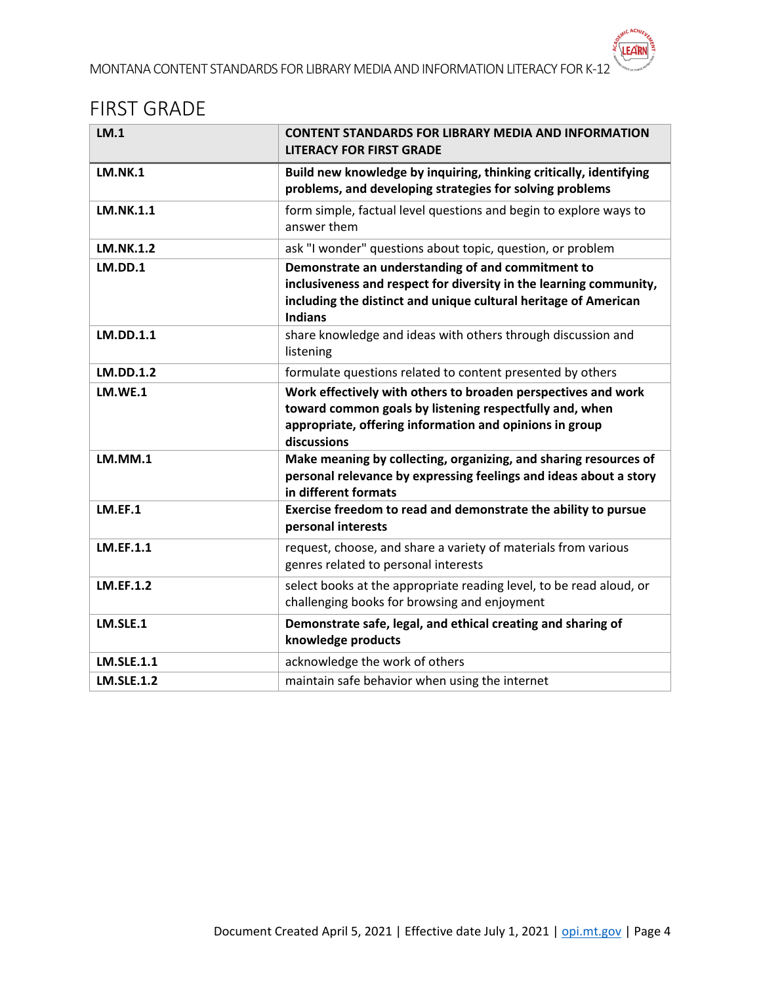### <span id="page-3-0"></span>FIRST GRADE

| LM.1              | <b>CONTENT STANDARDS FOR LIBRARY MEDIA AND INFORMATION</b><br><b>LITERACY FOR FIRST GRADE</b>                                                                                                                |
|-------------------|--------------------------------------------------------------------------------------------------------------------------------------------------------------------------------------------------------------|
| <b>LM.NK.1</b>    | Build new knowledge by inquiring, thinking critically, identifying<br>problems, and developing strategies for solving problems                                                                               |
| LM.NK.1.1         | form simple, factual level questions and begin to explore ways to<br>answer them                                                                                                                             |
| <b>LM.NK.1.2</b>  | ask "I wonder" questions about topic, question, or problem                                                                                                                                                   |
| <b>LM.DD.1</b>    | Demonstrate an understanding of and commitment to<br>inclusiveness and respect for diversity in the learning community,<br>including the distinct and unique cultural heritage of American<br><b>Indians</b> |
| LM.DD.1.1         | share knowledge and ideas with others through discussion and<br>listening                                                                                                                                    |
| <b>LM.DD.1.2</b>  | formulate questions related to content presented by others                                                                                                                                                   |
| LM.WE.1           | Work effectively with others to broaden perspectives and work<br>toward common goals by listening respectfully and, when<br>appropriate, offering information and opinions in group<br>discussions           |
| <b>LM.MM.1</b>    | Make meaning by collecting, organizing, and sharing resources of<br>personal relevance by expressing feelings and ideas about a story<br>in different formats                                                |
| LM.EF.1           | Exercise freedom to read and demonstrate the ability to pursue<br>personal interests                                                                                                                         |
| LM.EF.1.1         | request, choose, and share a variety of materials from various<br>genres related to personal interests                                                                                                       |
| <b>LM.EF.1.2</b>  | select books at the appropriate reading level, to be read aloud, or<br>challenging books for browsing and enjoyment                                                                                          |
| LM.SLE.1          | Demonstrate safe, legal, and ethical creating and sharing of<br>knowledge products                                                                                                                           |
| <b>LM.SLE.1.1</b> | acknowledge the work of others                                                                                                                                                                               |
| <b>LM.SLE.1.2</b> | maintain safe behavior when using the internet                                                                                                                                                               |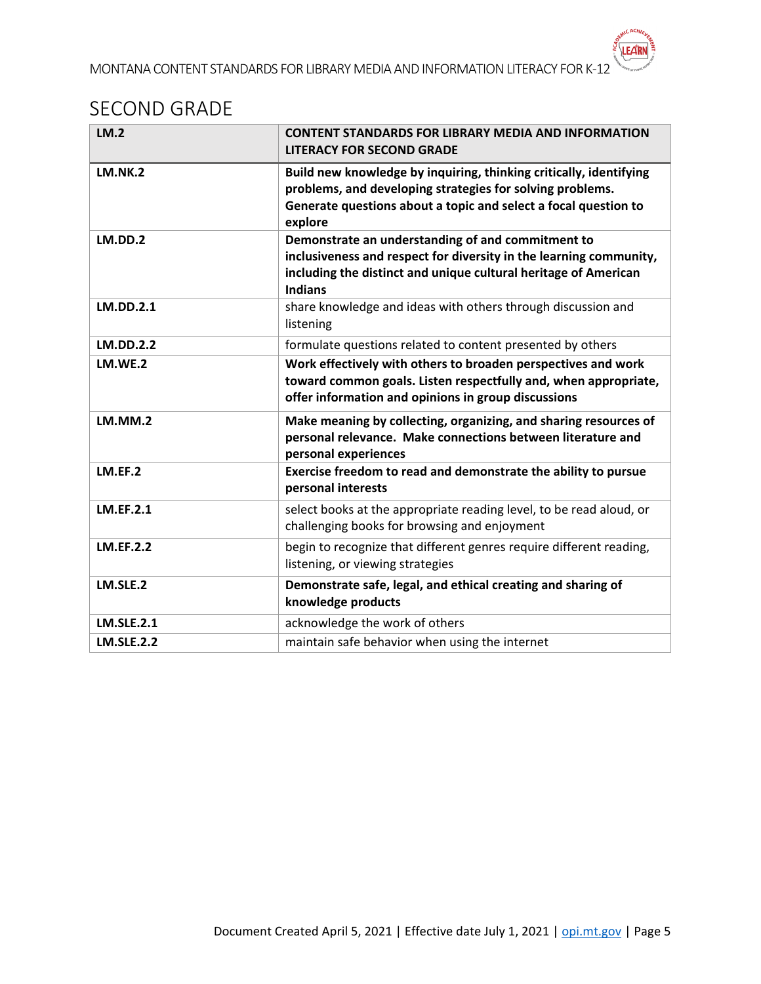#### <span id="page-4-0"></span>SECOND GRADE

| LM.2              | <b>CONTENT STANDARDS FOR LIBRARY MEDIA AND INFORMATION</b><br><b>LITERACY FOR SECOND GRADE</b>                                                                                                                |
|-------------------|---------------------------------------------------------------------------------------------------------------------------------------------------------------------------------------------------------------|
| <b>LM.NK.2</b>    | Build new knowledge by inquiring, thinking critically, identifying<br>problems, and developing strategies for solving problems.<br>Generate questions about a topic and select a focal question to<br>explore |
| LM.DD.2           | Demonstrate an understanding of and commitment to<br>inclusiveness and respect for diversity in the learning community,<br>including the distinct and unique cultural heritage of American<br><b>Indians</b>  |
| <b>LM.DD.2.1</b>  | share knowledge and ideas with others through discussion and<br>listening                                                                                                                                     |
| <b>LM.DD.2.2</b>  | formulate questions related to content presented by others                                                                                                                                                    |
| LM.WE.2           | Work effectively with others to broaden perspectives and work<br>toward common goals. Listen respectfully and, when appropriate,<br>offer information and opinions in group discussions                       |
| LM.MM.2           | Make meaning by collecting, organizing, and sharing resources of<br>personal relevance. Make connections between literature and<br>personal experiences                                                       |
| LM.EF.2           | Exercise freedom to read and demonstrate the ability to pursue<br>personal interests                                                                                                                          |
| <b>LM.EF.2.1</b>  | select books at the appropriate reading level, to be read aloud, or<br>challenging books for browsing and enjoyment                                                                                           |
| <b>LM.EF.2.2</b>  | begin to recognize that different genres require different reading,<br>listening, or viewing strategies                                                                                                       |
| LM.SLE.2          | Demonstrate safe, legal, and ethical creating and sharing of<br>knowledge products                                                                                                                            |
| <b>LM.SLE.2.1</b> | acknowledge the work of others                                                                                                                                                                                |
| <b>LM.SLE.2.2</b> | maintain safe behavior when using the internet                                                                                                                                                                |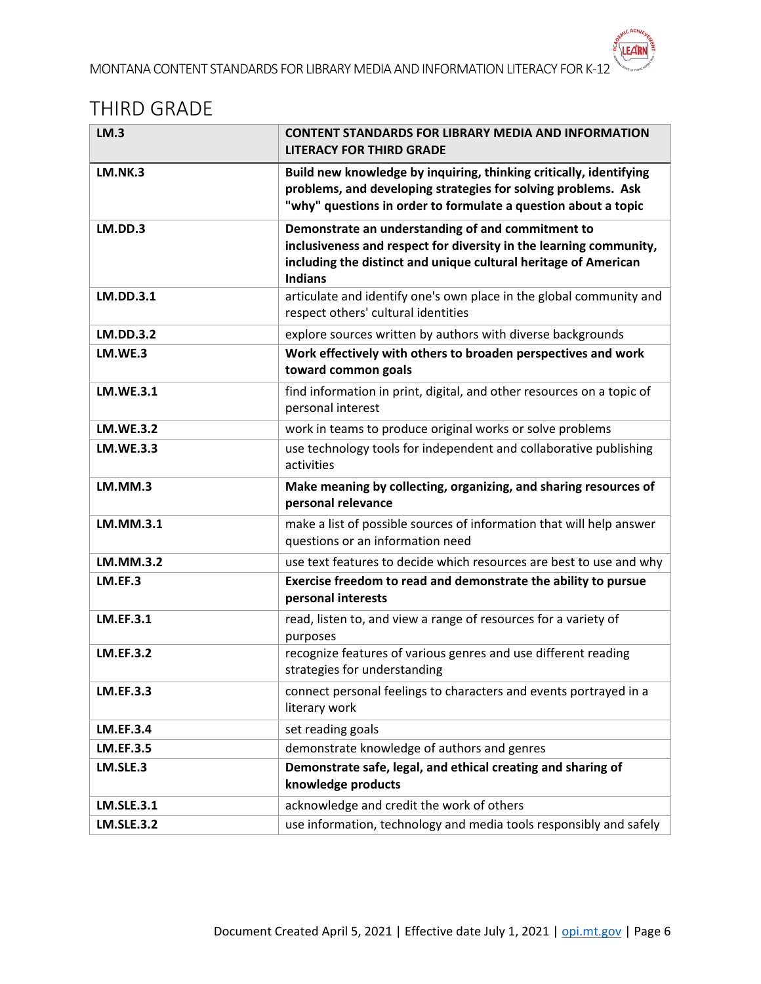#### <span id="page-5-0"></span>THIRD GRADE

| <b>LM.3</b>       | <b>CONTENT STANDARDS FOR LIBRARY MEDIA AND INFORMATION</b><br><b>LITERACY FOR THIRD GRADE</b>                                                                                                                |
|-------------------|--------------------------------------------------------------------------------------------------------------------------------------------------------------------------------------------------------------|
| <b>LM.NK.3</b>    | Build new knowledge by inquiring, thinking critically, identifying<br>problems, and developing strategies for solving problems. Ask<br>"why" questions in order to formulate a question about a topic        |
| LM.DD.3           | Demonstrate an understanding of and commitment to<br>inclusiveness and respect for diversity in the learning community,<br>including the distinct and unique cultural heritage of American<br><b>Indians</b> |
| <b>LM.DD.3.1</b>  | articulate and identify one's own place in the global community and<br>respect others' cultural identities                                                                                                   |
| <b>LM.DD.3.2</b>  | explore sources written by authors with diverse backgrounds                                                                                                                                                  |
| LM.WE.3           | Work effectively with others to broaden perspectives and work                                                                                                                                                |
|                   | toward common goals                                                                                                                                                                                          |
| <b>LM.WE.3.1</b>  | find information in print, digital, and other resources on a topic of<br>personal interest                                                                                                                   |
| <b>LM.WE.3.2</b>  | work in teams to produce original works or solve problems                                                                                                                                                    |
| <b>LM.WE.3.3</b>  | use technology tools for independent and collaborative publishing<br>activities                                                                                                                              |
| LM.MM.3           | Make meaning by collecting, organizing, and sharing resources of                                                                                                                                             |
|                   | personal relevance                                                                                                                                                                                           |
| LM.MM.3.1         | make a list of possible sources of information that will help answer<br>questions or an information need                                                                                                     |
| <b>LM.MM.3.2</b>  | use text features to decide which resources are best to use and why                                                                                                                                          |
| LM.EF.3           | Exercise freedom to read and demonstrate the ability to pursue<br>personal interests                                                                                                                         |
| <b>LM.EF.3.1</b>  | read, listen to, and view a range of resources for a variety of<br>purposes                                                                                                                                  |
| <b>LM.EF.3.2</b>  | recognize features of various genres and use different reading<br>strategies for understanding                                                                                                               |
| <b>LM.EF.3.3</b>  | connect personal feelings to characters and events portrayed in a<br>literary work                                                                                                                           |
| <b>LM.EF.3.4</b>  | set reading goals                                                                                                                                                                                            |
| <b>LM.EF.3.5</b>  | demonstrate knowledge of authors and genres                                                                                                                                                                  |
| LM.SLE.3          | Demonstrate safe, legal, and ethical creating and sharing of<br>knowledge products                                                                                                                           |
| <b>LM.SLE.3.1</b> | acknowledge and credit the work of others                                                                                                                                                                    |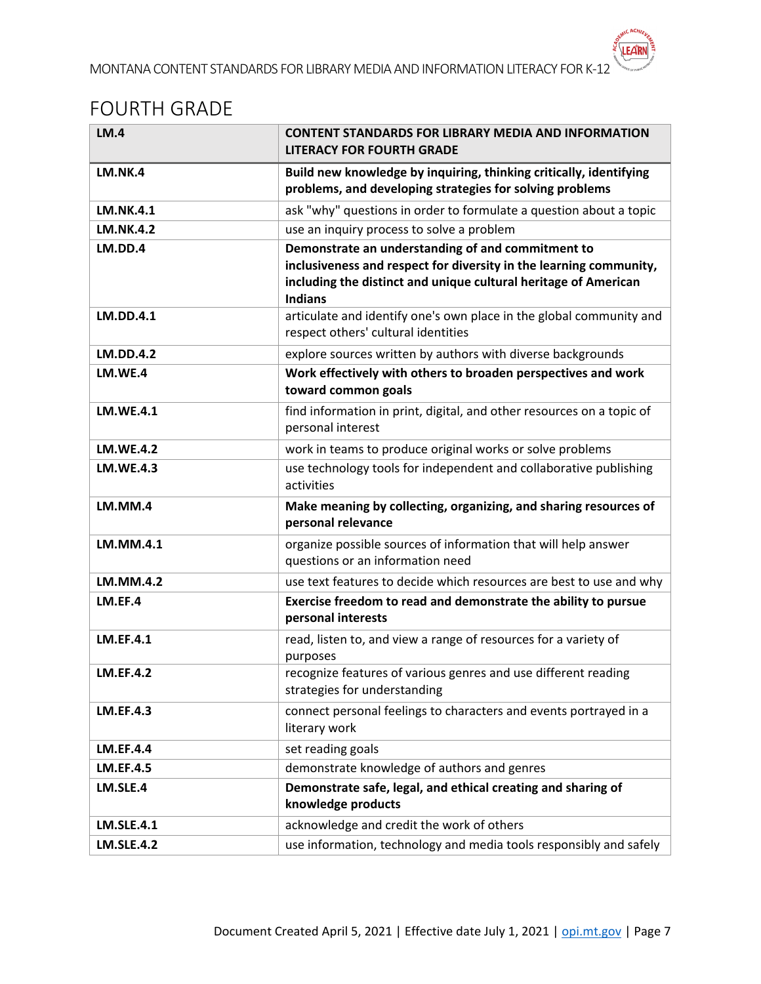# <span id="page-6-0"></span>FOURTH GRADE

| LM.4              | <b>CONTENT STANDARDS FOR LIBRARY MEDIA AND INFORMATION</b><br><b>LITERACY FOR FOURTH GRADE</b>                                                                                                               |
|-------------------|--------------------------------------------------------------------------------------------------------------------------------------------------------------------------------------------------------------|
| LM.NK.4           | Build new knowledge by inquiring, thinking critically, identifying<br>problems, and developing strategies for solving problems                                                                               |
| <b>LM.NK.4.1</b>  | ask "why" questions in order to formulate a question about a topic                                                                                                                                           |
| <b>LM.NK.4.2</b>  | use an inquiry process to solve a problem                                                                                                                                                                    |
| LM.DD.4           | Demonstrate an understanding of and commitment to<br>inclusiveness and respect for diversity in the learning community,<br>including the distinct and unique cultural heritage of American<br><b>Indians</b> |
| <b>LM.DD.4.1</b>  | articulate and identify one's own place in the global community and<br>respect others' cultural identities                                                                                                   |
| <b>LM.DD.4.2</b>  | explore sources written by authors with diverse backgrounds                                                                                                                                                  |
| LM.WE.4           | Work effectively with others to broaden perspectives and work<br>toward common goals                                                                                                                         |
| <b>LM.WE.4.1</b>  | find information in print, digital, and other resources on a topic of<br>personal interest                                                                                                                   |
| <b>LM.WE.4.2</b>  | work in teams to produce original works or solve problems                                                                                                                                                    |
| <b>LM.WE.4.3</b>  | use technology tools for independent and collaborative publishing<br>activities                                                                                                                              |
| LM.MM.4           | Make meaning by collecting, organizing, and sharing resources of<br>personal relevance                                                                                                                       |
| LM.MM.4.1         | organize possible sources of information that will help answer<br>questions or an information need                                                                                                           |
| LM.MM.4.2         | use text features to decide which resources are best to use and why                                                                                                                                          |
| LM.EF.4           | Exercise freedom to read and demonstrate the ability to pursue<br>personal interests                                                                                                                         |
| <b>LM.EF.4.1</b>  | read, listen to, and view a range of resources for a variety of<br>purposes                                                                                                                                  |
| <b>LM.EF.4.2</b>  | recognize features of various genres and use different reading<br>strategies for understanding                                                                                                               |
| <b>LM.EF.4.3</b>  | connect personal feelings to characters and events portrayed in a<br>literary work                                                                                                                           |
| <b>LM.EF.4.4</b>  | set reading goals                                                                                                                                                                                            |
| <b>LM.EF.4.5</b>  | demonstrate knowledge of authors and genres                                                                                                                                                                  |
| LM.SLE.4          | Demonstrate safe, legal, and ethical creating and sharing of<br>knowledge products                                                                                                                           |
| <b>LM.SLE.4.1</b> | acknowledge and credit the work of others                                                                                                                                                                    |
| <b>LM.SLE.4.2</b> | use information, technology and media tools responsibly and safely                                                                                                                                           |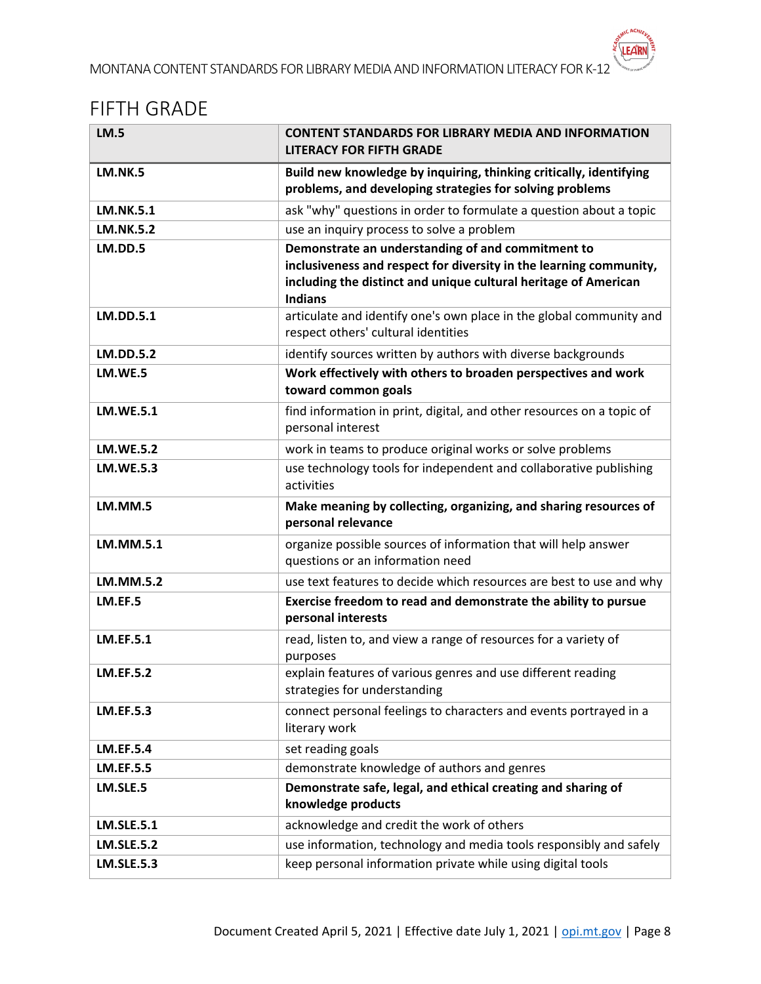#### <span id="page-7-0"></span>FIFTH GRADE

| <b>LM.5</b>       | <b>CONTENT STANDARDS FOR LIBRARY MEDIA AND INFORMATION</b><br><b>LITERACY FOR FIFTH GRADE</b>                                                                                                                |
|-------------------|--------------------------------------------------------------------------------------------------------------------------------------------------------------------------------------------------------------|
| <b>LM.NK.5</b>    | Build new knowledge by inquiring, thinking critically, identifying<br>problems, and developing strategies for solving problems                                                                               |
| <b>LM.NK.5.1</b>  | ask "why" questions in order to formulate a question about a topic                                                                                                                                           |
| <b>LM.NK.5.2</b>  | use an inquiry process to solve a problem                                                                                                                                                                    |
| <b>LM.DD.5</b>    | Demonstrate an understanding of and commitment to<br>inclusiveness and respect for diversity in the learning community,<br>including the distinct and unique cultural heritage of American<br><b>Indians</b> |
| <b>LM.DD.5.1</b>  | articulate and identify one's own place in the global community and<br>respect others' cultural identities                                                                                                   |
| <b>LM.DD.5.2</b>  | identify sources written by authors with diverse backgrounds                                                                                                                                                 |
| LM.WE.5           | Work effectively with others to broaden perspectives and work<br>toward common goals                                                                                                                         |
| <b>LM.WE.5.1</b>  | find information in print, digital, and other resources on a topic of<br>personal interest                                                                                                                   |
| <b>LM.WE.5.2</b>  | work in teams to produce original works or solve problems                                                                                                                                                    |
| <b>LM.WE.5.3</b>  | use technology tools for independent and collaborative publishing<br>activities                                                                                                                              |
| LM.MM.5           | Make meaning by collecting, organizing, and sharing resources of                                                                                                                                             |
|                   | personal relevance                                                                                                                                                                                           |
| LM.MM.5.1         | organize possible sources of information that will help answer<br>questions or an information need                                                                                                           |
| <b>LM.MM.5.2</b>  | use text features to decide which resources are best to use and why                                                                                                                                          |
| LM.EF.5           | Exercise freedom to read and demonstrate the ability to pursue<br>personal interests                                                                                                                         |
| <b>LM.EF.5.1</b>  | read, listen to, and view a range of resources for a variety of<br>purposes                                                                                                                                  |
| <b>LM.EF.5.2</b>  | explain features of various genres and use different reading<br>strategies for understanding                                                                                                                 |
| <b>LM.EF.5.3</b>  | connect personal feelings to characters and events portrayed in a<br>literary work                                                                                                                           |
| <b>LM.EF.5.4</b>  | set reading goals                                                                                                                                                                                            |
| <b>LM.EF.5.5</b>  | demonstrate knowledge of authors and genres                                                                                                                                                                  |
| LM.SLE.5          | Demonstrate safe, legal, and ethical creating and sharing of<br>knowledge products                                                                                                                           |
| <b>LM.SLE.5.1</b> | acknowledge and credit the work of others                                                                                                                                                                    |
| <b>LM.SLE.5.2</b> | use information, technology and media tools responsibly and safely                                                                                                                                           |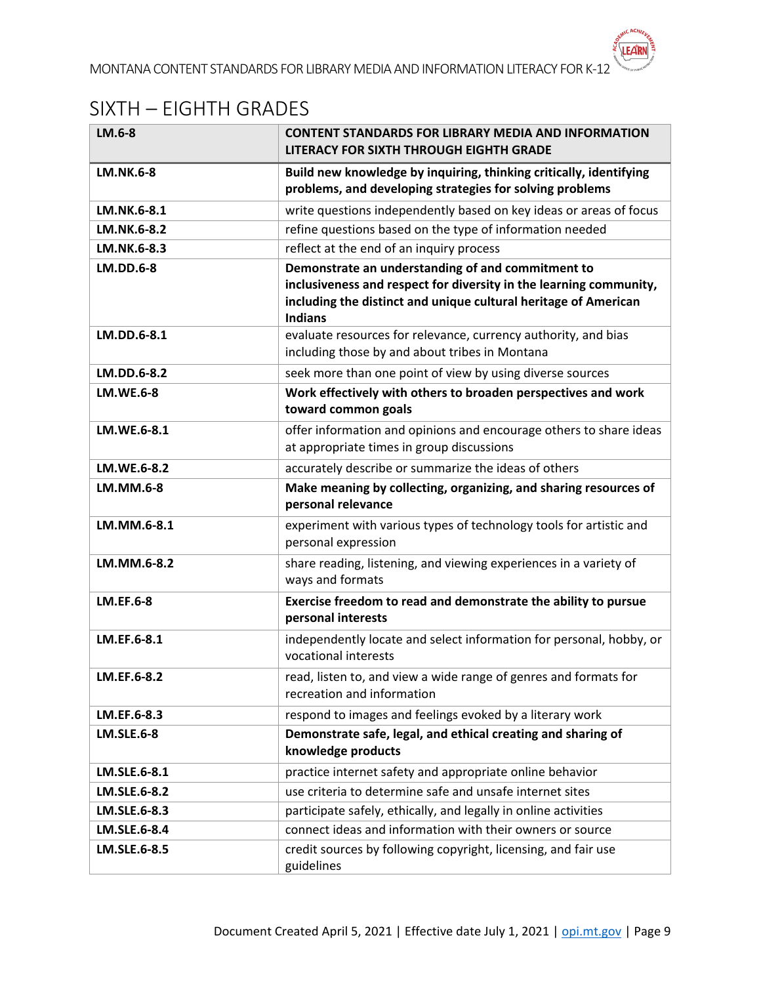# <span id="page-8-0"></span>SIXTH – EIGHTH GRADES

| LM.6-8            | <b>CONTENT STANDARDS FOR LIBRARY MEDIA AND INFORMATION</b><br>LITERACY FOR SIXTH THROUGH EIGHTH GRADE                                                                                                        |
|-------------------|--------------------------------------------------------------------------------------------------------------------------------------------------------------------------------------------------------------|
| <b>LM.NK.6-8</b>  | Build new knowledge by inquiring, thinking critically, identifying<br>problems, and developing strategies for solving problems                                                                               |
| LM.NK.6-8.1       | write questions independently based on key ideas or areas of focus                                                                                                                                           |
| LM.NK.6-8.2       | refine questions based on the type of information needed                                                                                                                                                     |
| LM.NK.6-8.3       | reflect at the end of an inquiry process                                                                                                                                                                     |
| <b>LM.DD.6-8</b>  | Demonstrate an understanding of and commitment to<br>inclusiveness and respect for diversity in the learning community,<br>including the distinct and unique cultural heritage of American<br><b>Indians</b> |
| LM.DD.6-8.1       | evaluate resources for relevance, currency authority, and bias<br>including those by and about tribes in Montana                                                                                             |
| LM.DD.6-8.2       | seek more than one point of view by using diverse sources                                                                                                                                                    |
| <b>LM.WE.6-8</b>  | Work effectively with others to broaden perspectives and work<br>toward common goals                                                                                                                         |
| LM.WE.6-8.1       | offer information and opinions and encourage others to share ideas<br>at appropriate times in group discussions                                                                                              |
| LM.WE.6-8.2       | accurately describe or summarize the ideas of others                                                                                                                                                         |
| LM.MM.6-8         | Make meaning by collecting, organizing, and sharing resources of<br>personal relevance                                                                                                                       |
| LM.MM.6-8.1       | experiment with various types of technology tools for artistic and<br>personal expression                                                                                                                    |
| LM.MM.6-8.2       | share reading, listening, and viewing experiences in a variety of<br>ways and formats                                                                                                                        |
| <b>LM.EF.6-8</b>  | Exercise freedom to read and demonstrate the ability to pursue<br>personal interests                                                                                                                         |
| LM.EF.6-8.1       | independently locate and select information for personal, hobby, or<br>vocational interests                                                                                                                  |
| LM.EF.6-8.2       | read, listen to, and view a wide range of genres and formats for<br>recreation and information                                                                                                               |
| LM.EF.6-8.3       | respond to images and feelings evoked by a literary work                                                                                                                                                     |
| <b>LM.SLE.6-8</b> | Demonstrate safe, legal, and ethical creating and sharing of<br>knowledge products                                                                                                                           |
| LM.SLE.6-8.1      | practice internet safety and appropriate online behavior                                                                                                                                                     |
| LM.SLE.6-8.2      | use criteria to determine safe and unsafe internet sites                                                                                                                                                     |
| LM.SLE.6-8.3      | participate safely, ethically, and legally in online activities                                                                                                                                              |
| LM.SLE.6-8.4      | connect ideas and information with their owners or source                                                                                                                                                    |
| LM.SLE.6-8.5      | credit sources by following copyright, licensing, and fair use<br>guidelines                                                                                                                                 |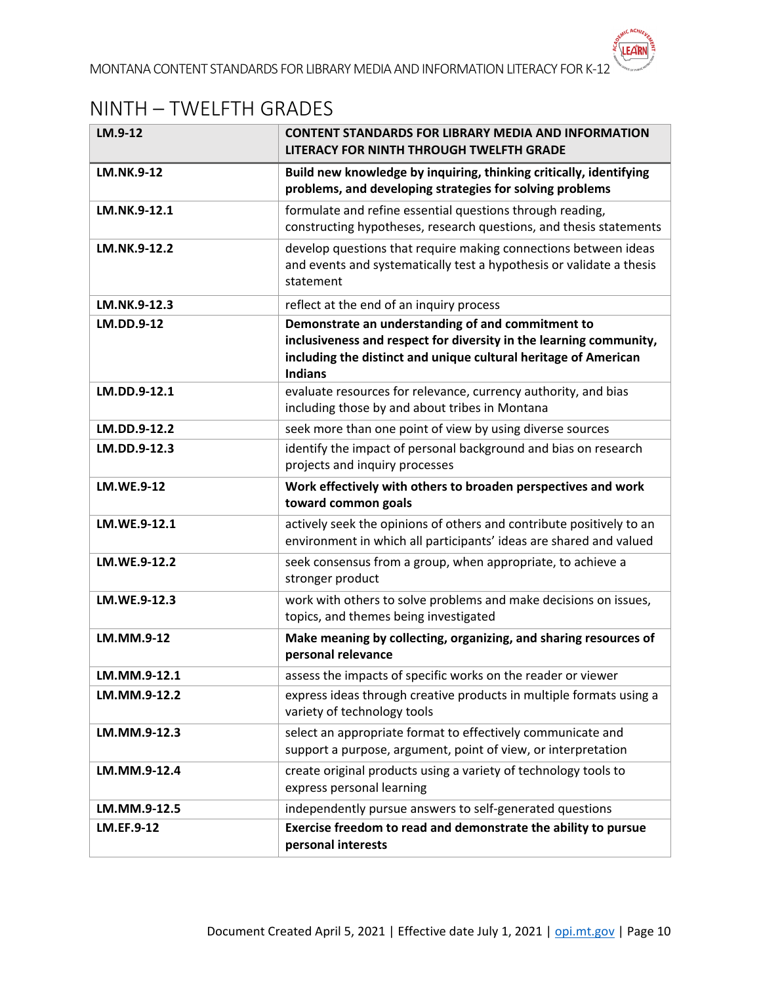# <span id="page-9-0"></span>NINTH – TWELFTH GRADES

| LM.9-12           | <b>CONTENT STANDARDS FOR LIBRARY MEDIA AND INFORMATION</b><br>LITERACY FOR NINTH THROUGH TWELFTH GRADE                                                                                                       |
|-------------------|--------------------------------------------------------------------------------------------------------------------------------------------------------------------------------------------------------------|
| <b>LM.NK.9-12</b> | Build new knowledge by inquiring, thinking critically, identifying<br>problems, and developing strategies for solving problems                                                                               |
| LM.NK.9-12.1      | formulate and refine essential questions through reading,<br>constructing hypotheses, research questions, and thesis statements                                                                              |
| LM.NK.9-12.2      | develop questions that require making connections between ideas<br>and events and systematically test a hypothesis or validate a thesis<br>statement                                                         |
| LM.NK.9-12.3      | reflect at the end of an inquiry process                                                                                                                                                                     |
| LM.DD.9-12        | Demonstrate an understanding of and commitment to<br>inclusiveness and respect for diversity in the learning community,<br>including the distinct and unique cultural heritage of American<br><b>Indians</b> |
| LM.DD.9-12.1      | evaluate resources for relevance, currency authority, and bias<br>including those by and about tribes in Montana                                                                                             |
| LM.DD.9-12.2      | seek more than one point of view by using diverse sources                                                                                                                                                    |
| LM.DD.9-12.3      | identify the impact of personal background and bias on research<br>projects and inquiry processes                                                                                                            |
| <b>LM.WE.9-12</b> | Work effectively with others to broaden perspectives and work<br>toward common goals                                                                                                                         |
| LM.WE.9-12.1      | actively seek the opinions of others and contribute positively to an<br>environment in which all participants' ideas are shared and valued                                                                   |
| LM.WE.9-12.2      | seek consensus from a group, when appropriate, to achieve a<br>stronger product                                                                                                                              |
| LM.WE.9-12.3      | work with others to solve problems and make decisions on issues,<br>topics, and themes being investigated                                                                                                    |
| LM.MM.9-12        | Make meaning by collecting, organizing, and sharing resources of<br>personal relevance                                                                                                                       |
| LM.MM.9-12.1      | assess the impacts of specific works on the reader or viewer                                                                                                                                                 |
| LM.MM.9-12.2      | express ideas through creative products in multiple formats using a<br>variety of technology tools                                                                                                           |
| LM.MM.9-12.3      | select an appropriate format to effectively communicate and<br>support a purpose, argument, point of view, or interpretation                                                                                 |
| LM.MM.9-12.4      | create original products using a variety of technology tools to<br>express personal learning                                                                                                                 |
| LM.MM.9-12.5      | independently pursue answers to self-generated questions                                                                                                                                                     |
| LM.EF.9-12        | Exercise freedom to read and demonstrate the ability to pursue<br>personal interests                                                                                                                         |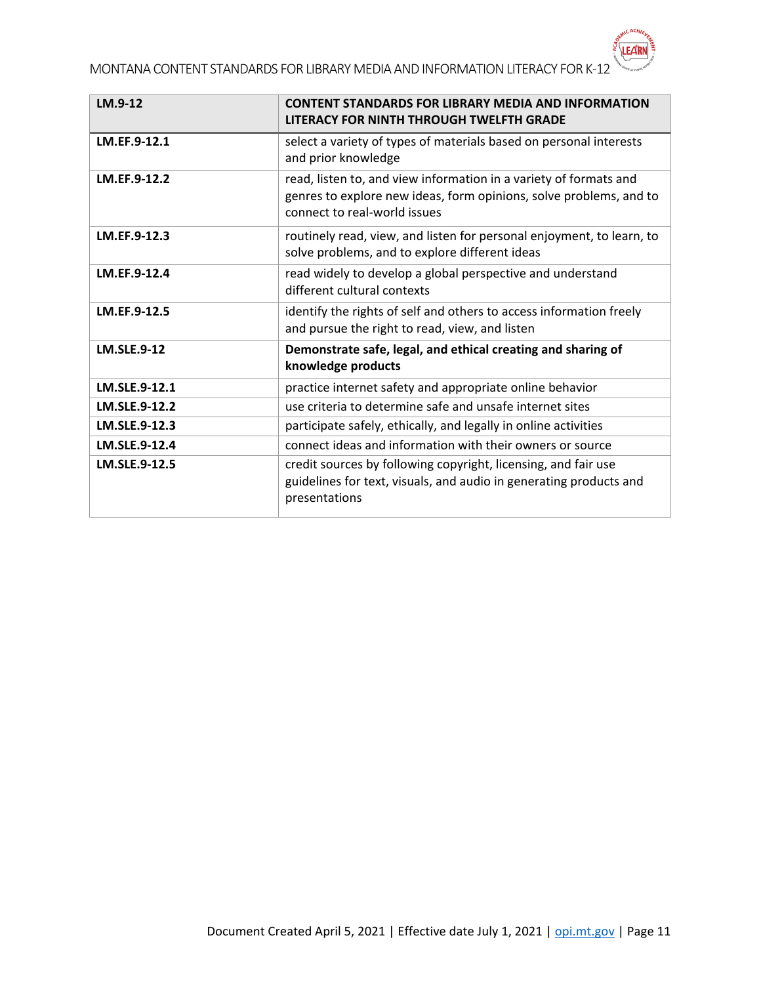MONTANA CONTENT STANDARDS FOR LIBRARY MEDIA AND INFORMATION LITERACY FOR K-12

| LM.9-12            | <b>CONTENT STANDARDS FOR LIBRARY MEDIA AND INFORMATION</b><br>LITERACY FOR NINTH THROUGH TWELFTH GRADE                                                                  |
|--------------------|-------------------------------------------------------------------------------------------------------------------------------------------------------------------------|
| LM.EF.9-12.1       | select a variety of types of materials based on personal interests<br>and prior knowledge                                                                               |
| LM.EF.9-12.2       | read, listen to, and view information in a variety of formats and<br>genres to explore new ideas, form opinions, solve problems, and to<br>connect to real-world issues |
| LM.EF.9-12.3       | routinely read, view, and listen for personal enjoyment, to learn, to<br>solve problems, and to explore different ideas                                                 |
| LM.EF.9-12.4       | read widely to develop a global perspective and understand<br>different cultural contexts                                                                               |
| LM.EF.9-12.5       | identify the rights of self and others to access information freely<br>and pursue the right to read, view, and listen                                                   |
| <b>LM.SLE.9-12</b> | Demonstrate safe, legal, and ethical creating and sharing of<br>knowledge products                                                                                      |
| LM.SLE.9-12.1      | practice internet safety and appropriate online behavior                                                                                                                |
| LM.SLE.9-12.2      | use criteria to determine safe and unsafe internet sites                                                                                                                |
| LM.SLE.9-12.3      | participate safely, ethically, and legally in online activities                                                                                                         |
| LM.SLE.9-12.4      | connect ideas and information with their owners or source                                                                                                               |
| LM.SLE.9-12.5      | credit sources by following copyright, licensing, and fair use<br>guidelines for text, visuals, and audio in generating products and<br>presentations                   |